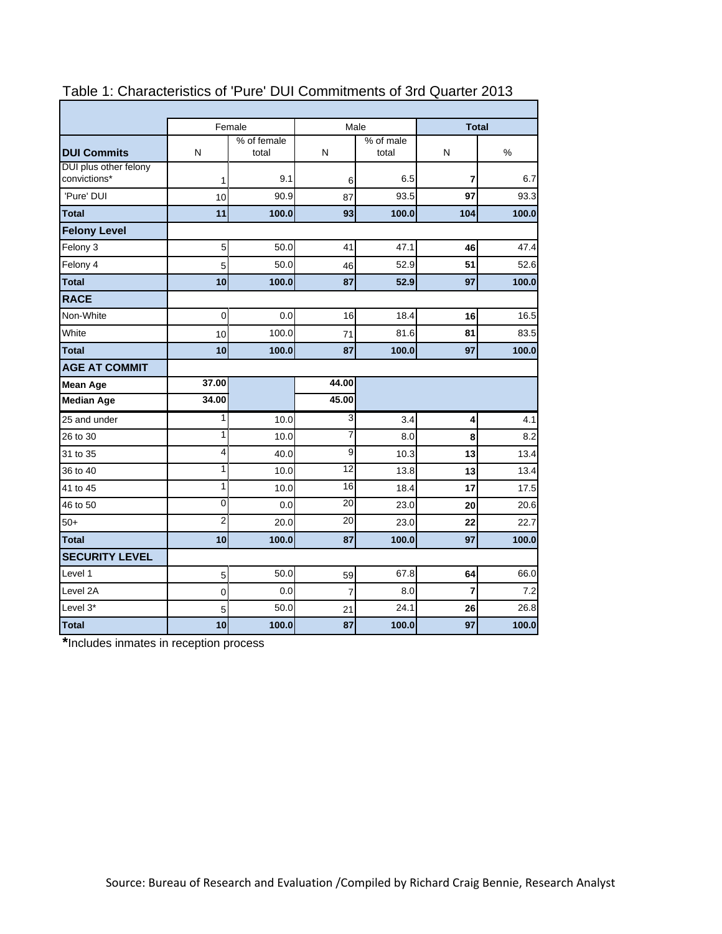|                                       |                | Female               |                 | Male               | <b>Total</b> |       |
|---------------------------------------|----------------|----------------------|-----------------|--------------------|--------------|-------|
| <b>DUI Commits</b>                    | N              | % of female<br>total | N               | % of male<br>total | N            | %     |
| DUI plus other felony<br>convictions* | 1              | 9.1                  | 6               | 6.5                | 7            | 6.7   |
| 'Pure' DUI                            | 10             | 90.9                 | 87              | 93.5               | 97           | 93.3  |
| <b>Total</b>                          | 11             | 100.0                | 93              | 100.0              | 104          | 100.0 |
| <b>Felony Level</b>                   |                |                      |                 |                    |              |       |
| Felony 3                              | 5              | 50.0                 | 41              | 47.1               | 46           | 47.4  |
| Felony 4                              | 5              | 50.0                 | 46              | 52.9               | 51           | 52.6  |
| <b>Total</b>                          | 10             | 100.0                | 87              | 52.9               | 97           | 100.0 |
| <b>RACE</b>                           |                |                      |                 |                    |              |       |
| Non-White                             | $\overline{0}$ | 0.0                  | 16              | 18.4               | 16           | 16.5  |
| White                                 | 10             | 100.0                | 71              | 81.6               | 81           | 83.5  |
| <b>Total</b>                          | 10             | 100.0                | 87              | 100.0              | 97           | 100.0 |
| <b>AGE AT COMMIT</b>                  |                |                      |                 |                    |              |       |
| <b>Mean Age</b>                       | 37.00          |                      | 44.00           |                    |              |       |
| <b>Median Age</b>                     | 34.00          |                      | 45.00           |                    |              |       |
| 25 and under                          | 1              | 10.0                 | 3               | 3.4                | 4            | 4.1   |
| 26 to 30                              | 1              | 10.0                 | $\overline{7}$  | 8.0                | 8            | 8.2   |
| 31 to 35                              | 4              | 40.0                 | 9               | 10.3               | 13           | 13.4  |
| 36 to 40                              | 1              | 10.0                 | 12              | 13.8               | 13           | 13.4  |
| 41 to 45                              | 1              | 10.0                 | 16              | 18.4               | 17           | 17.5  |
| 46 to 50                              | $\mathbf 0$    | 0.0                  | 20              | 23.0               | 20           | 20.6  |
| $50+$                                 | $\overline{2}$ | 20.0                 | $\overline{20}$ | 23.0               | 22           | 22.7  |
| <b>Total</b>                          | 10             | 100.0                | 87              | 100.0              | 97           | 100.0 |
| <b>SECURITY LEVEL</b>                 |                |                      |                 |                    |              |       |
| Level 1                               | 5              | 50.0                 | 59              | 67.8               | 64           | 66.0  |
| Level 2A                              | 0              | 0.0                  | 7               | 8.0                | 7            | 7.2   |
| Level 3*                              | 5              | 50.0                 | 21              | 24.1               | 26           | 26.8  |
| <b>Total</b>                          | 10             | 100.0                | 87              | 100.0              | 97           | 100.0 |

# Table 1: Characteristics of 'Pure' DUI Commitments of 3rd Quarter 2013

**\***Includes inmates in reception process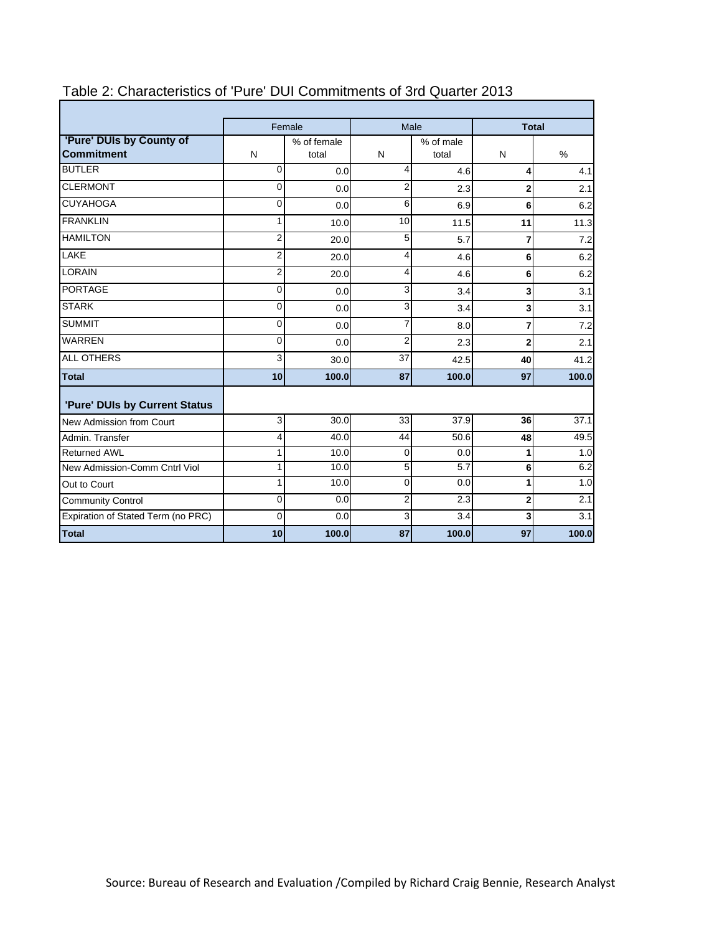|                                               |                | Female               | Male           |                    | <b>Total</b>   |       |  |  |
|-----------------------------------------------|----------------|----------------------|----------------|--------------------|----------------|-------|--|--|
| 'Pure' DUIs by County of<br><b>Commitment</b> | N              | % of female<br>total | N              | % of male<br>total | N              | $\%$  |  |  |
| <b>BUTLER</b>                                 | 0              | 0.0                  | 4              | 4.6                | 4              | 4.1   |  |  |
| <b>CLERMONT</b>                               | 0              | 0.0                  | $\overline{2}$ | 2.3                | $\overline{2}$ | 2.1   |  |  |
| <b>CUYAHOGA</b>                               | $\mathbf{0}$   | 0.0                  | 6              | 6.9                | 6              | 6.2   |  |  |
| <b>FRANKLIN</b>                               | 1              | 10.0                 | 10             | 11.5               | 11             | 11.3  |  |  |
| <b>HAMILTON</b>                               | $\overline{2}$ | 20.0                 | 5              | 5.7                | 7              | 7.2   |  |  |
| <b>LAKE</b>                                   | $\overline{2}$ | 20.0                 | 4              | 4.6                | 6              | 6.2   |  |  |
| <b>LORAIN</b>                                 | $\overline{2}$ | 20.0                 | 4              | 4.6                | 6              | 6.2   |  |  |
| <b>PORTAGE</b>                                | 0              | 0.0                  | 3              | 3.4                | 3              | 3.1   |  |  |
| <b>STARK</b>                                  | $\mathbf{0}$   | 0.0                  | 3              | 3.4                | 3              | 3.1   |  |  |
| <b>SUMMIT</b>                                 | 0              | 0.0                  | $\overline{7}$ | 8.0                | $\overline{7}$ | 7.2   |  |  |
| <b>WARREN</b>                                 | 0              | 0.0                  | $\overline{2}$ | 2.3                | $\overline{2}$ | 2.1   |  |  |
| <b>ALL OTHERS</b>                             | 3              | 30.0                 | 37             | 42.5               | 40             | 41.2  |  |  |
| <b>Total</b>                                  | 10             | 100.0                | 87             | 100.0              | 97             | 100.0 |  |  |
| 'Pure' DUIs by Current Status                 |                |                      |                |                    |                |       |  |  |
| New Admission from Court                      | 3              | 30.0                 | 33             | 37.9               | 36             | 37.1  |  |  |
| Admin, Transfer                               | 4              | 40.0                 | 44             | 50.6               | 48             | 49.5  |  |  |
| <b>Returned AWL</b>                           | 1              | 10.0                 | 0              | 0.0                | 1              | 1.0   |  |  |
| New Admission-Comm Cntrl Viol                 | 1              | 10.0                 | 5              | 5.7                | 6              | 6.2   |  |  |
| Out to Court                                  | 1              | 10.0                 | $\mathbf 0$    | 0.0                | 1              | 1.0   |  |  |
| <b>Community Control</b>                      | 0              | 0.0                  | 2              | 2.3                | $\mathbf 2$    | 2.1   |  |  |
| Expiration of Stated Term (no PRC)            | 0              | 0.0                  | 3              | 3.4                | 3              | 3.1   |  |  |
| <b>Total</b>                                  | 10             | 100.0                | 87             | 100.0              | 97             | 100.0 |  |  |

### Table 2: Characteristics of 'Pure' DUI Commitments of 3rd Quarter 2013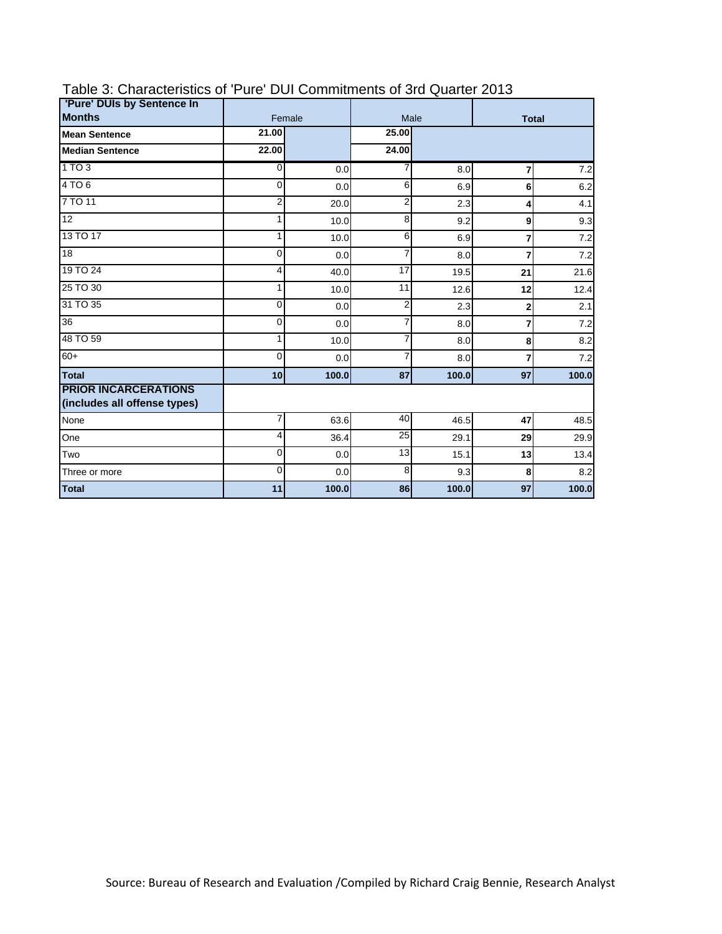| 'Pure' DUIs by Sentence In                                  |                |        |                |       |              |       |  |  |  |
|-------------------------------------------------------------|----------------|--------|----------------|-------|--------------|-------|--|--|--|
| <b>Months</b>                                               |                | Female | Male           |       | <b>Total</b> |       |  |  |  |
| <b>Mean Sentence</b>                                        | 21.00          |        | 25.00          |       |              |       |  |  |  |
| <b>Median Sentence</b>                                      | 22.00          |        | 24.00          |       |              |       |  |  |  |
| 1TO3                                                        | $\overline{0}$ | 0.0    | 7              | 8.0   | 7            | 7.2   |  |  |  |
| 4TO6                                                        | 0              | 0.0    | 6              | 6.9   | 6            | 6.2   |  |  |  |
| 7 TO 11                                                     | 2              | 20.0   | $\overline{2}$ | 2.3   | 4            | 4.1   |  |  |  |
| $\overline{12}$                                             | 1              | 10.0   | 8              | 9.2   | 9            | 9.3   |  |  |  |
| 13 TO 17                                                    | 1              | 10.0   | 6              | 6.9   | 7            | 7.2   |  |  |  |
| $\overline{18}$                                             | 0              | 0.0    | $\overline{7}$ | 8.0   | 7            | 7.2   |  |  |  |
| 19 TO 24                                                    | 4              | 40.0   | 17             | 19.5  | 21           | 21.6  |  |  |  |
| 25 TO 30                                                    | 1              | 10.0   | 11             | 12.6  | 12           | 12.4  |  |  |  |
| 31 TO 35                                                    | 0              | 0.0    | $\overline{2}$ | 2.3   | $\mathbf{2}$ | 2.1   |  |  |  |
| 36                                                          | $\mathbf 0$    | 0.0    | $\overline{7}$ | 8.0   | 7            | 7.2   |  |  |  |
| 48 TO 59                                                    | 1              | 10.0   | $\overline{7}$ | 8.0   | 8            | 8.2   |  |  |  |
| $60+$                                                       | 0              | 0.0    | $\overline{7}$ | 8.0   | 7            | 7.2   |  |  |  |
| <b>Total</b>                                                | 10             | 100.0  | 87             | 100.0 | 97           | 100.0 |  |  |  |
| <b>PRIOR INCARCERATIONS</b><br>(includes all offense types) |                |        |                |       |              |       |  |  |  |
| None                                                        | 7              | 63.6   | 40             | 46.5  | 47           | 48.5  |  |  |  |
| One                                                         | 4              | 36.4   | 25             | 29.1  | 29           | 29.9  |  |  |  |
| Two                                                         | 0              | 0.0    | 13             | 15.1  | 13           | 13.4  |  |  |  |
| Three or more                                               | 0              | 0.0    | 8              | 9.3   | 8            | 8.2   |  |  |  |
| <b>Total</b>                                                | 11             | 100.0  | 86             | 100.0 | 97           | 100.0 |  |  |  |

### Table 3: Characteristics of 'Pure' DUI Commitments of 3rd Quarter 2013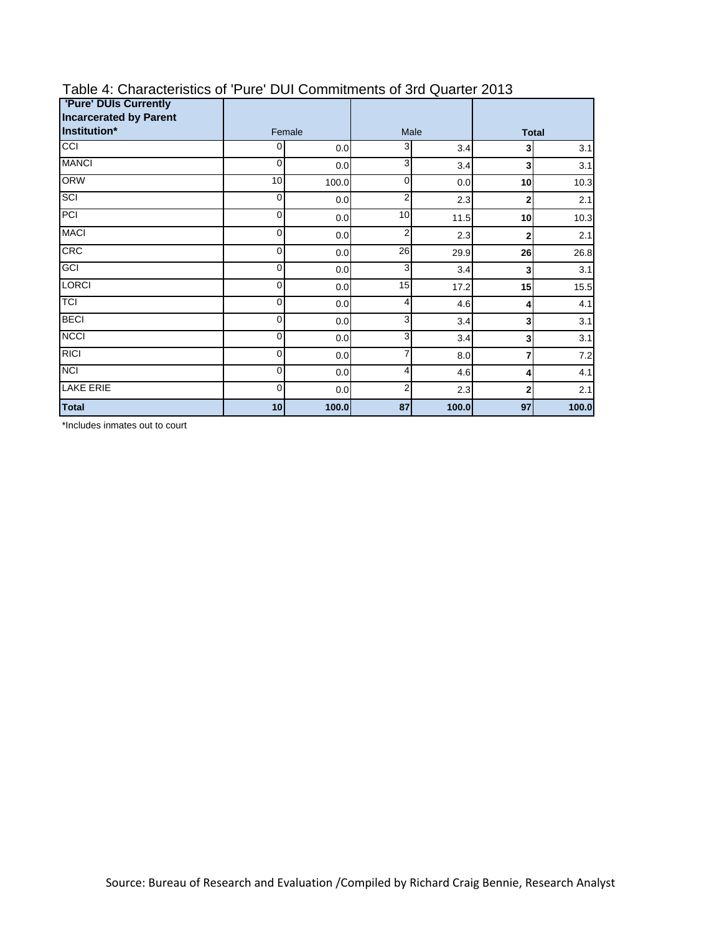| <b>'Pure' DUIs Currently</b><br><b>Incarcerated by Parent</b> |        |       |                |       |                |       |
|---------------------------------------------------------------|--------|-------|----------------|-------|----------------|-------|
| Institution*                                                  | Female |       | Male           |       | <b>Total</b>   |       |
| CC                                                            | 0      | 0.0   | 3              | 3.4   | 3              | 3.1   |
| <b>MANCI</b>                                                  | 0      | 0.0   | 3              | 3.4   | 3              | 3.1   |
| <b>ORW</b>                                                    | 10     | 100.0 | 0              | 0.0   | 10             | 10.3  |
| SCI                                                           | 0      | 0.0   | 2              | 2.3   | 2              | 2.1   |
| PCI                                                           | 0      | 0.0   | 10             | 11.5  | 10             | 10.3  |
| <b>MACI</b>                                                   | 0      | 0.0   | 2              | 2.3   | $\overline{2}$ | 2.1   |
| CRC                                                           | 0      | 0.0   | 26             | 29.9  | 26             | 26.8  |
| GCI                                                           | 0      | 0.0   | 3              | 3.4   | 3              | 3.1   |
| <b>LORCI</b>                                                  | 0      | 0.0   | 15             | 17.2  | 15             | 15.5  |
| <b>TCI</b>                                                    | 0      | 0.0   | 4              | 4.6   | 4              | 4.1   |
| <b>BECI</b>                                                   | 0      | 0.0   | 3              | 3.4   | 3              | 3.1   |
| <b>NCCI</b>                                                   | 0      | 0.0   | 3              | 3.4   | 3              | 3.1   |
| <b>RICI</b>                                                   | 0      | 0.0   | 7              | 8.0   | 7              | 7.2   |
| <b>NCI</b>                                                    | 0      | 0.0   | 4              | 4.6   | 4              | 4.1   |
| <b>LAKE ERIE</b>                                              | 0      | 0.0   | $\overline{2}$ | 2.3   | $\overline{2}$ | 2.1   |
| <b>Total</b>                                                  | 10     | 100.0 | 87             | 100.0 | 97             | 100.0 |

## Table 4: Characteristics of 'Pure' DUI Commitments of 3rd Quarter 2013

\*Includes inmates out to court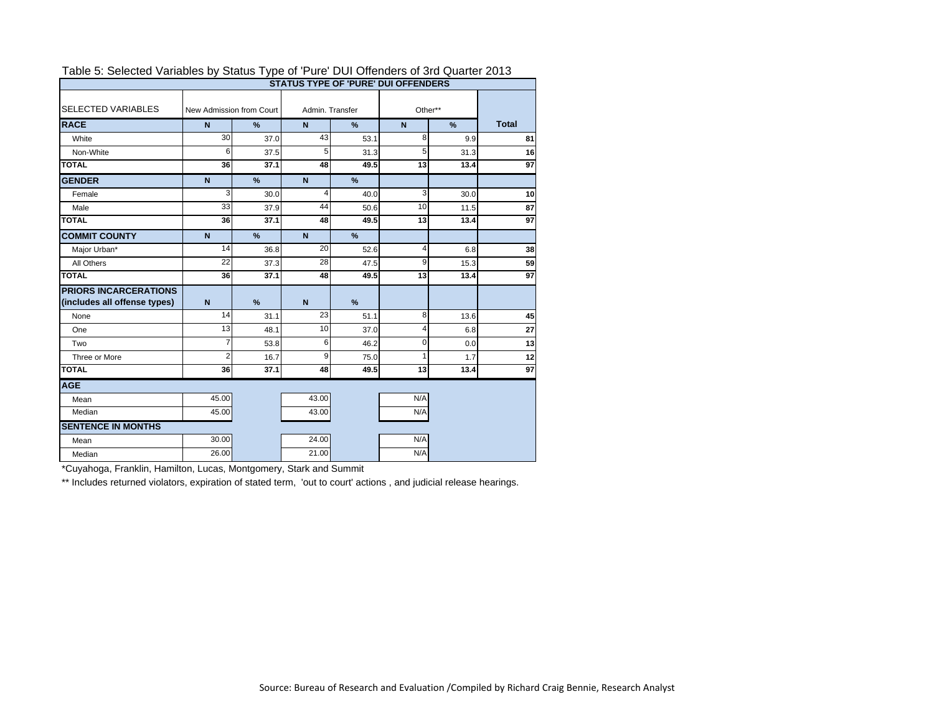|                              | <b>STATUS TYPE OF 'PURE' DUI OFFENDERS</b> |                                               |                         |               |              |      |    |
|------------------------------|--------------------------------------------|-----------------------------------------------|-------------------------|---------------|--------------|------|----|
| <b>SELECTED VARIABLES</b>    | New Admission from Court                   |                                               | Admin, Transfer         |               | Other**      |      |    |
| <b>RACE</b>                  | N                                          | $\frac{9}{6}$<br>$\mathbf N$<br>$\frac{9}{6}$ |                         | $\mathbf N$   | <b>Total</b> |      |    |
| White                        | 30                                         | 37.0                                          | 43                      | 53.1          | 8            | 9.9  | 81 |
| Non-White                    | 6                                          | 37.5                                          | 5                       | 31.3          | 5            | 31.3 | 16 |
| <b>TOTAL</b>                 | 36                                         | 37.1                                          | 48                      | 49.5          | 13           | 13.4 | 97 |
| <b>GENDER</b>                | $\mathbf N$                                | %                                             | N                       | %             |              |      |    |
| Female                       | 3                                          | 30.0                                          | $\overline{\mathbf{4}}$ | 40.0          | 3            | 30.0 | 10 |
| Male                         | 33                                         | 37.9                                          | 44                      | 50.6          | 10           | 11.5 | 87 |
| <b>TOTAL</b>                 | 36                                         | 37.1                                          | 48                      | 49.5          | 13           | 13.4 | 97 |
| <b>COMMIT COUNTY</b>         | $\mathbf N$                                | %                                             | N                       | %             |              |      |    |
| Major Urban*                 | 14                                         | 36.8                                          | 20                      | 52.6          | 4            | 6.8  | 38 |
| All Others                   | 22                                         | 37.3                                          | 28                      | 47.5          | 9            | 15.3 | 59 |
| <b>TOTAL</b>                 | 36                                         | 37.1                                          | 48                      | 49.5          | 13           | 13.4 | 97 |
| <b>PRIORS INCARCERATIONS</b> |                                            |                                               |                         |               |              |      |    |
| (includes all offense types) | $\mathbf N$                                | %                                             | $\mathbf N$             | $\frac{9}{6}$ |              |      |    |
| None                         | 14                                         | 31.1                                          | 23                      | 51.1          | 8            | 13.6 | 45 |
| One                          | 13                                         | 48.1                                          | 10                      | 37.0          | 4            | 6.8  | 27 |
| Two                          | $\overline{7}$                             | 53.8                                          | 6                       | 46.2          | $\mathbf 0$  | 0.0  | 13 |
| Three or More                | $\overline{2}$                             | 16.7                                          | 9                       | 75.0          | 1            | 1.7  | 12 |
| <b>TOTAL</b>                 | 36                                         | 37.1                                          | 48                      | 49.5          | 13           | 13.4 | 97 |
| <b>AGE</b>                   |                                            |                                               |                         |               |              |      |    |
| Mean                         | 45.00                                      |                                               | 43.00                   |               | N/A          |      |    |
| Median                       | 45.00                                      |                                               | 43.00                   |               | N/A          |      |    |
| <b>SENTENCE IN MONTHS</b>    |                                            |                                               |                         |               |              |      |    |
| Mean                         | 30.00                                      |                                               | 24.00                   |               | N/A          |      |    |
| Median                       | 26.00                                      |                                               | 21.00                   |               | N/A          |      |    |

#### Table 5: Selected Variables by Status Type of 'Pure' DUI Offenders of 3rd Quarter 2013

\*Cuyahoga, Franklin, Hamilton, Lucas, Montgomery, Stark and Summit

\*\* Includes returned violators, expiration of stated term, 'out to court' actions, and judicial release hearings.